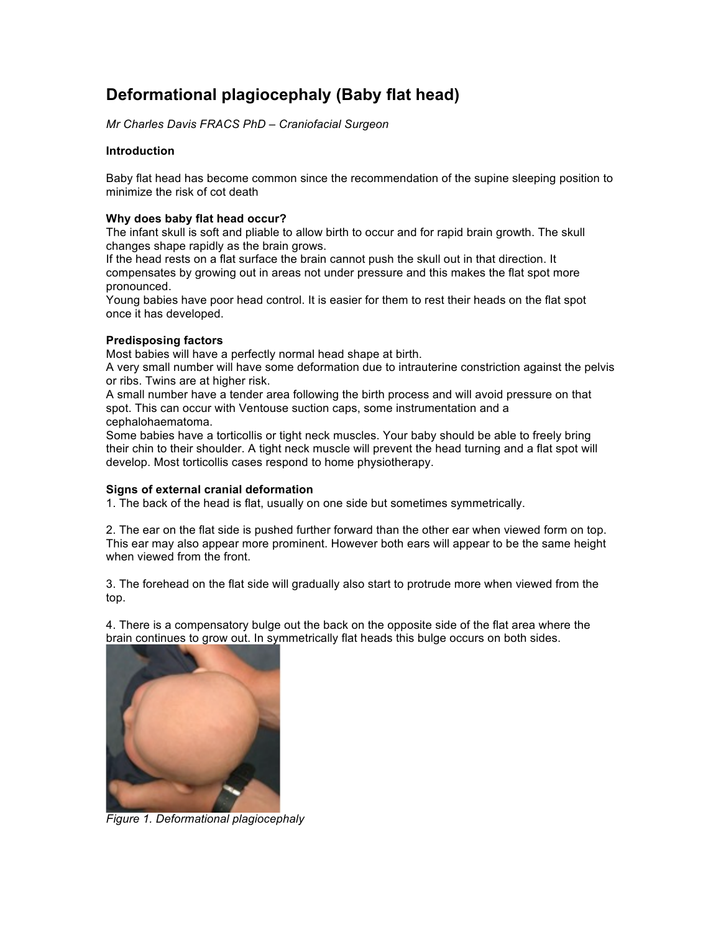# **Deformational plagiocephaly (Baby flat head)**

*Mr Charles Davis FRACS PhD – Craniofacial Surgeon*

## **Introduction**

Baby flat head has become common since the recommendation of the supine sleeping position to minimize the risk of cot death

## **Why does baby flat head occur?**

The infant skull is soft and pliable to allow birth to occur and for rapid brain growth. The skull changes shape rapidly as the brain grows.

If the head rests on a flat surface the brain cannot push the skull out in that direction. It compensates by growing out in areas not under pressure and this makes the flat spot more pronounced.

Young babies have poor head control. It is easier for them to rest their heads on the flat spot once it has developed.

## **Predisposing factors**

Most babies will have a perfectly normal head shape at birth.

A very small number will have some deformation due to intrauterine constriction against the pelvis or ribs. Twins are at higher risk.

A small number have a tender area following the birth process and will avoid pressure on that spot. This can occur with Ventouse suction caps, some instrumentation and a cephalohaematoma.

Some babies have a torticollis or tight neck muscles. Your baby should be able to freely bring their chin to their shoulder. A tight neck muscle will prevent the head turning and a flat spot will develop. Most torticollis cases respond to home physiotherapy.

#### **Signs of external cranial deformation**

1. The back of the head is flat, usually on one side but sometimes symmetrically.

2. The ear on the flat side is pushed further forward than the other ear when viewed form on top. This ear may also appear more prominent. However both ears will appear to be the same height when viewed from the front.

3. The forehead on the flat side will gradually also start to protrude more when viewed from the top.

4. There is a compensatory bulge out the back on the opposite side of the flat area where the brain continues to grow out. In symmetrically flat heads this bulge occurs on both sides.



*Figure 1. Deformational plagiocephaly*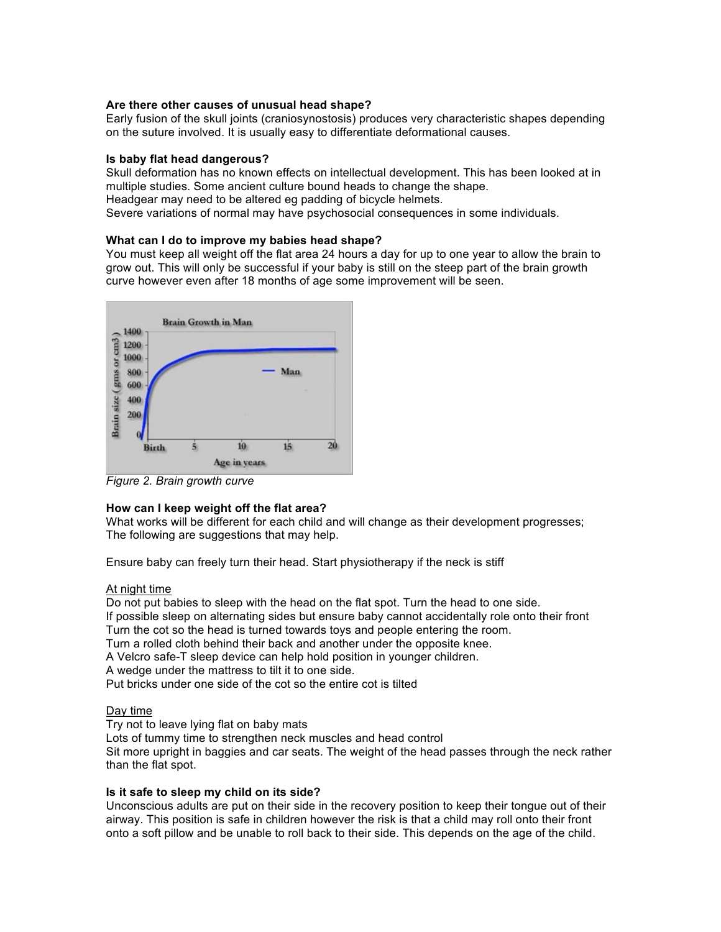## **Are there other causes of unusual head shape?**

Early fusion of the skull joints (craniosynostosis) produces very characteristic shapes depending on the suture involved. It is usually easy to differentiate deformational causes.

#### **Is baby flat head dangerous?**

Skull deformation has no known effects on intellectual development. This has been looked at in multiple studies. Some ancient culture bound heads to change the shape. Headgear may need to be altered eg padding of bicycle helmets. Severe variations of normal may have psychosocial consequences in some individuals.

## **What can I do to improve my babies head shape?**

You must keep all weight off the flat area 24 hours a day for up to one year to allow the brain to grow out. This will only be successful if your baby is still on the steep part of the brain growth curve however even after 18 months of age some improvement will be seen.



*Figure 2. Brain growth curve*

# **How can I keep weight off the flat area?**

What works will be different for each child and will change as their development progresses; The following are suggestions that may help.

Ensure baby can freely turn their head. Start physiotherapy if the neck is stiff

#### At night time

Do not put babies to sleep with the head on the flat spot. Turn the head to one side. If possible sleep on alternating sides but ensure baby cannot accidentally role onto their front Turn the cot so the head is turned towards toys and people entering the room. Turn a rolled cloth behind their back and another under the opposite knee.

A Velcro safe-T sleep device can help hold position in younger children.

A wedge under the mattress to tilt it to one side.

Put bricks under one side of the cot so the entire cot is tilted

# Day time

Try not to leave lying flat on baby mats

Lots of tummy time to strengthen neck muscles and head control

Sit more upright in baggies and car seats. The weight of the head passes through the neck rather than the flat spot.

# **Is it safe to sleep my child on its side?**

Unconscious adults are put on their side in the recovery position to keep their tongue out of their airway. This position is safe in children however the risk is that a child may roll onto their front onto a soft pillow and be unable to roll back to their side. This depends on the age of the child.